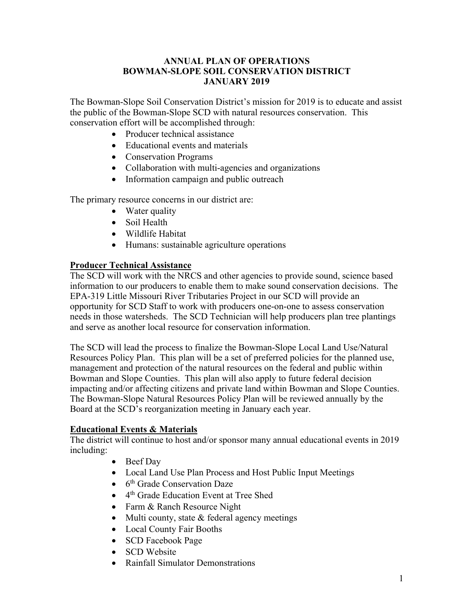#### **ANNUAL PLAN OF OPERATIONS BOWMAN-SLOPE SOIL CONSERVATION DISTRICT JANUARY 2019**

The Bowman-Slope Soil Conservation District's mission for 2019 is to educate and assist the public of the Bowman-Slope SCD with natural resources conservation. This conservation effort will be accomplished through:

- Producer technical assistance
- Educational events and materials
- Conservation Programs
- Collaboration with multi-agencies and organizations
- Information campaign and public outreach

The primary resource concerns in our district are:

- Water quality
- Soil Health
- Wildlife Habitat
- Humans: sustainable agriculture operations

#### **Producer Technical Assistance**

The SCD will work with the NRCS and other agencies to provide sound, science based information to our producers to enable them to make sound conservation decisions. The EPA-319 Little Missouri River Tributaries Project in our SCD will provide an opportunity for SCD Staff to work with producers one-on-one to assess conservation needs in those watersheds. The SCD Technician will help producers plan tree plantings and serve as another local resource for conservation information.

The SCD will lead the process to finalize the Bowman-Slope Local Land Use/Natural Resources Policy Plan. This plan will be a set of preferred policies for the planned use, management and protection of the natural resources on the federal and public within Bowman and Slope Counties. This plan will also apply to future federal decision impacting and/or affecting citizens and private land within Bowman and Slope Counties. The Bowman-Slope Natural Resources Policy Plan will be reviewed annually by the Board at the SCD's reorganization meeting in January each year.

## **Educational Events & Materials**

The district will continue to host and/or sponsor many annual educational events in 2019 including:

- Beef Day
- Local Land Use Plan Process and Host Public Input Meetings
- $\bullet$  6<sup>th</sup> Grade Conservation Daze
- $\bullet$  4<sup>th</sup> Grade Education Event at Tree Shed
- Farm & Ranch Resource Night
- Multi county, state & federal agency meetings
- Local County Fair Booths
- SCD Facebook Page
- SCD Website
- Rainfall Simulator Demonstrations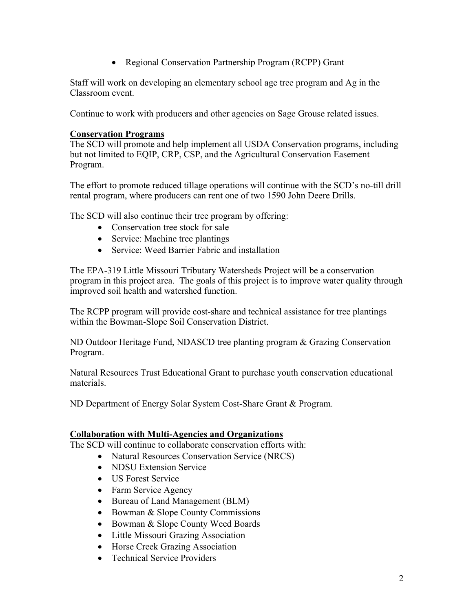• Regional Conservation Partnership Program (RCPP) Grant

Staff will work on developing an elementary school age tree program and Ag in the Classroom event.

Continue to work with producers and other agencies on Sage Grouse related issues.

### **Conservation Programs**

The SCD will promote and help implement all USDA Conservation programs, including but not limited to EQIP, CRP, CSP, and the Agricultural Conservation Easement Program.

The effort to promote reduced tillage operations will continue with the SCD's no-till drill rental program, where producers can rent one of two 1590 John Deere Drills.

The SCD will also continue their tree program by offering:

- Conservation tree stock for sale
- Service: Machine tree plantings
- Service: Weed Barrier Fabric and installation

The EPA-319 Little Missouri Tributary Watersheds Project will be a conservation program in this project area. The goals of this project is to improve water quality through improved soil health and watershed function.

The RCPP program will provide cost-share and technical assistance for tree plantings within the Bowman-Slope Soil Conservation District.

ND Outdoor Heritage Fund, NDASCD tree planting program & Grazing Conservation Program.

Natural Resources Trust Educational Grant to purchase youth conservation educational materials.

ND Department of Energy Solar System Cost-Share Grant & Program.

#### **Collaboration with Multi-Agencies and Organizations**

The SCD will continue to collaborate conservation efforts with:

- Natural Resources Conservation Service (NRCS)
- NDSU Extension Service
- US Forest Service
- Farm Service Agency
- Bureau of Land Management (BLM)
- Bowman & Slope County Commissions
- Bowman & Slope County Weed Boards
- Little Missouri Grazing Association
- Horse Creek Grazing Association
- Technical Service Providers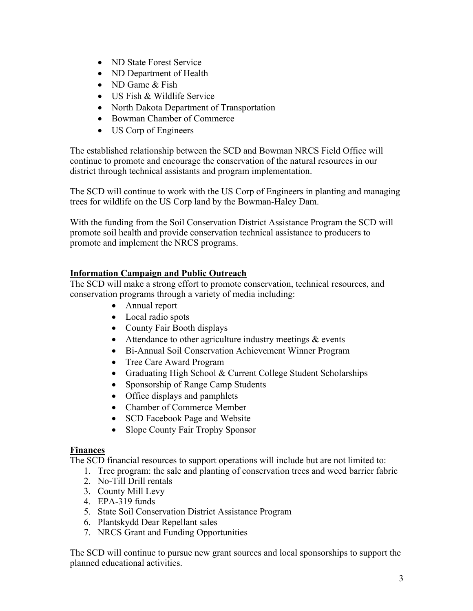- ND State Forest Service
- ND Department of Health
- ND Game & Fish
- US Fish & Wildlife Service
- North Dakota Department of Transportation
- Bowman Chamber of Commerce
- US Corp of Engineers

The established relationship between the SCD and Bowman NRCS Field Office will continue to promote and encourage the conservation of the natural resources in our district through technical assistants and program implementation.

The SCD will continue to work with the US Corp of Engineers in planting and managing trees for wildlife on the US Corp land by the Bowman-Haley Dam.

With the funding from the Soil Conservation District Assistance Program the SCD will promote soil health and provide conservation technical assistance to producers to promote and implement the NRCS programs.

## **Information Campaign and Public Outreach**

The SCD will make a strong effort to promote conservation, technical resources, and conservation programs through a variety of media including:

- Annual report
- Local radio spots
- County Fair Booth displays
- Attendance to other agriculture industry meetings & events
- Bi-Annual Soil Conservation Achievement Winner Program
- Tree Care Award Program
- Graduating High School & Current College Student Scholarships
- Sponsorship of Range Camp Students
- Office displays and pamphlets
- Chamber of Commerce Member
- SCD Facebook Page and Website
- Slope County Fair Trophy Sponsor

## **Finances**

The SCD financial resources to support operations will include but are not limited to:

- 1. Tree program: the sale and planting of conservation trees and weed barrier fabric
- 2. No-Till Drill rentals
- 3. County Mill Levy
- 4. EPA-319 funds
- 5. State Soil Conservation District Assistance Program
- 6. Plantskydd Dear Repellant sales
- 7. NRCS Grant and Funding Opportunities

The SCD will continue to pursue new grant sources and local sponsorships to support the planned educational activities.